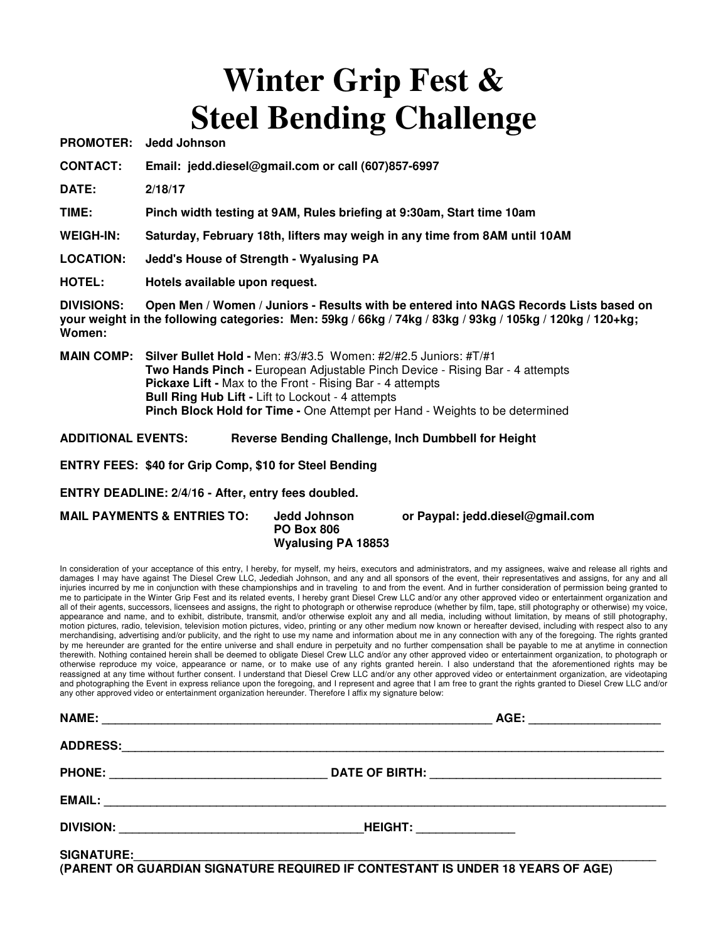# **Winter Grip Fest & Steel Bending Challenge**

**PROMOTER: Jedd Johnson** 

**CONTACT: Email: jedd.diesel@gmail.com or call (607)857-6997** 

**DATE: 2/18/17** 

**TIME: Pinch width testing at 9AM, Rules briefing at 9:30am, Start time 10am** 

**WEIGH-IN: Saturday, February 18th, lifters may weigh in any time from 8AM until 10AM** 

**LOCATION: Jedd's House of Strength - Wyalusing PA** 

**HOTEL: Hotels available upon request.** 

**DIVISIONS: Open Men / Women / Juniors - Results with be entered into NAGS Records Lists based on your weight in the following categories: Men: 59kg / 66kg / 74kg / 83kg / 93kg / 105kg / 120kg / 120+kg; Women:** 

**MAIN COMP: Silver Bullet Hold -** Men: #3/#3.5 Women: #2/#2.5 Juniors: #T/#1  **Two Hands Pinch -** European Adjustable Pinch Device - Rising Bar - 4 attempts  **Pickaxe Lift -** Max to the Front - Rising Bar - 4 attempts  **Bull Ring Hub Lift -** Lift to Lockout - 4 attempts  **Pinch Block Hold for Time -** One Attempt per Hand - Weights to be determined

**ADDITIONAL EVENTS: Reverse Bending Challenge, Inch Dumbbell for Height** 

**ENTRY FEES: \$40 for Grip Comp, \$10 for Steel Bending**

**ENTRY DEADLINE: 2/4/16 - After, entry fees doubled.**

**MAIL PAYMENTS & ENTRIES TO: Jedd Johnson or Paypal: jedd.diesel@gmail.com PO Box 806 Wyalusing PA 18853** 

In consideration of your acceptance of this entry, I hereby, for myself, my heirs, executors and administrators, and my assignees, waive and release all rights and damages I may have against The Diesel Crew LLC, Jedediah Johnson, and any and all sponsors of the event, their representatives and assigns, for any and all injuries incurred by me in conjunction with these championships and in traveling to and from the event. And in further consideration of permission being granted to me to participate in the Winter Grip Fest and its related events, I hereby grant Diesel Crew LLC and/or any other approved video or entertainment organization and all of their agents, successors, licensees and assigns, the right to photograph or otherwise reproduce (whether by film, tape, still photography or otherwise) my voice, appearance and name, and to exhibit, distribute, transmit, and/or otherwise exploit any and all media, including without limitation, by means of still photography, motion pictures, radio, television, television motion pictures, video, printing or any other medium now known or hereafter devised, including with respect also to any merchandising, advertising and/or publicity, and the right to use my name and information about me in any connection with any of the foregoing. The rights granted by me hereunder are granted for the entire universe and shall endure in perpetuity and no further compensation shall be payable to me at anytime in connection therewith. Nothing contained herein shall be deemed to obligate Diesel Crew LLC and/or any other approved video or entertainment organization, to photograph or otherwise reproduce my voice, appearance or name, or to make use of any rights granted herein. I also understand that the aforementioned rights may be reassigned at any time without further consent. I understand that Diesel Crew LLC and/or any other approved video or entertainment organization, are videotaping and photographing the Event in express reliance upon the foregoing, and I represent and agree that I am free to grant the rights granted to Diesel Crew LLC and/or any other approved video or entertainment organization hereunder. Therefore I affix my signature below:

| <b>NAME:</b>                                                       |                                 | AGE: __________________ |
|--------------------------------------------------------------------|---------------------------------|-------------------------|
| <b>ADDRESS:</b>                                                    |                                 |                         |
| <b>PHONE:</b><br><u> 1989 - Johann Barbara, martxa alemaniar a</u> |                                 |                         |
|                                                                    |                                 |                         |
|                                                                    | <b>HEIGHT:</b> ________________ |                         |
| <b>SIGNATURE:</b>                                                  |                                 |                         |

**(PARENT OR GUARDIAN SIGNATURE REQUIRED IF CONTESTANT IS UNDER 18 YEARS OF AGE)**